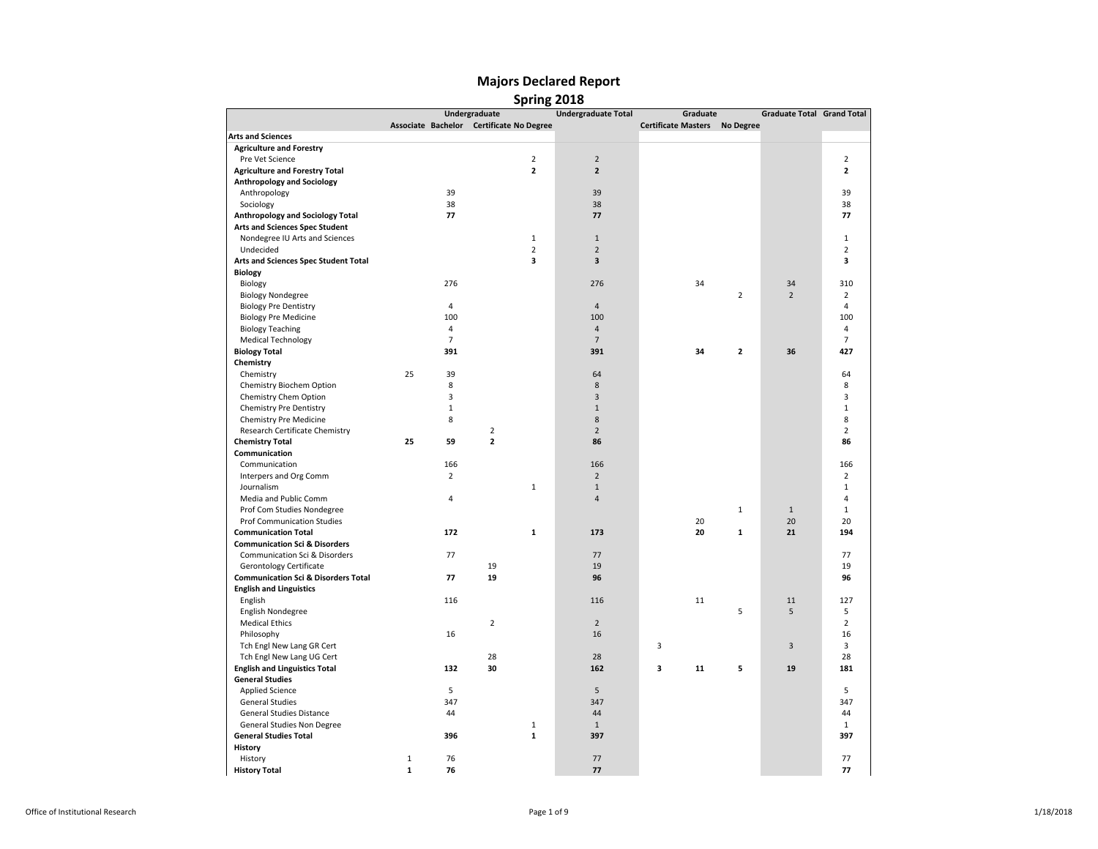|                                                                                  |              |                | Undergraduate                            | <b>Undergraduate Total</b> | Graduate                             |                | <b>Graduate Total Grand Total</b> |                |
|----------------------------------------------------------------------------------|--------------|----------------|------------------------------------------|----------------------------|--------------------------------------|----------------|-----------------------------------|----------------|
|                                                                                  |              |                | Associate Bachelor Certificate No Degree |                            | <b>Certificate Masters No Degree</b> |                |                                   |                |
| <b>Arts and Sciences</b>                                                         |              |                |                                          |                            |                                      |                |                                   |                |
| <b>Agriculture and Forestry</b>                                                  |              |                |                                          |                            |                                      |                |                                   |                |
| Pre Vet Science                                                                  |              |                | $\overline{2}$                           | $\overline{2}$             |                                      |                |                                   | $\overline{2}$ |
| <b>Agriculture and Forestry Total</b>                                            |              |                | $\overline{2}$                           | $\overline{\mathbf{2}}$    |                                      |                |                                   | $\overline{2}$ |
| <b>Anthropology and Sociology</b>                                                |              |                |                                          |                            |                                      |                |                                   |                |
| Anthropology                                                                     |              | 39             |                                          | 39                         |                                      |                |                                   | 39             |
| Sociology                                                                        |              | 38             |                                          | 38                         |                                      |                |                                   | 38             |
| Anthropology and Sociology Total                                                 |              | 77             |                                          | 77                         |                                      |                |                                   | 77             |
| <b>Arts and Sciences Spec Student</b>                                            |              |                |                                          |                            |                                      |                |                                   |                |
| Nondegree IU Arts and Sciences                                                   |              |                | $\mathbf{1}$                             | $\mathbf{1}$               |                                      |                |                                   | $\mathbf{1}$   |
| Undecided                                                                        |              |                | $\overline{2}$                           | $\overline{2}$             |                                      |                |                                   | $\overline{2}$ |
| Arts and Sciences Spec Student Total                                             |              |                | 3                                        | 3                          |                                      |                |                                   | 3              |
| <b>Biology</b>                                                                   |              |                |                                          |                            |                                      |                |                                   |                |
| Biology                                                                          |              | 276            |                                          | 276                        | 34                                   |                | 34                                | 310            |
| <b>Biology Nondegree</b>                                                         |              |                |                                          |                            |                                      | $\overline{2}$ | $\overline{2}$                    | $\overline{2}$ |
| <b>Biology Pre Dentistry</b>                                                     |              | $\overline{4}$ |                                          | $\overline{4}$             |                                      |                |                                   | $\overline{4}$ |
| <b>Biology Pre Medicine</b>                                                      |              | 100            |                                          | 100                        |                                      |                |                                   | 100            |
| <b>Biology Teaching</b>                                                          |              | $\overline{4}$ |                                          | $\sqrt{4}$                 |                                      |                |                                   | $\overline{4}$ |
| <b>Medical Technology</b>                                                        |              | $\overline{7}$ |                                          | $\overline{7}$             |                                      |                |                                   | $\overline{7}$ |
| <b>Biology Total</b>                                                             |              | 391            |                                          | 391                        | 34                                   | $\overline{2}$ | 36                                | 427            |
| Chemistry                                                                        |              |                |                                          |                            |                                      |                |                                   |                |
| Chemistry                                                                        | 25           | 39             |                                          | 64                         |                                      |                |                                   | 64             |
| Chemistry Biochem Option                                                         |              | 8              |                                          | 8                          |                                      |                |                                   | 8              |
| Chemistry Chem Option                                                            |              | 3              |                                          | 3                          |                                      |                |                                   | 3              |
| <b>Chemistry Pre Dentistry</b>                                                   |              | $\mathbf{1}$   |                                          | $\mathbf{1}$               |                                      |                |                                   | $\mathbf{1}$   |
| Chemistry Pre Medicine                                                           |              | 8              |                                          | 8                          |                                      |                |                                   | 8              |
| Research Certificate Chemistry                                                   |              |                | $\mathbf 2$                              | $\overline{2}$             |                                      |                |                                   | $\overline{2}$ |
| <b>Chemistry Total</b>                                                           | 25           | 59             | $\overline{2}$                           | 86                         |                                      |                |                                   | 86             |
| Communication                                                                    |              |                |                                          |                            |                                      |                |                                   |                |
| Communication                                                                    |              | 166            |                                          | 166                        |                                      |                |                                   | 166            |
| Interpers and Org Comm                                                           |              | $\overline{2}$ |                                          | $\overline{2}$             |                                      |                |                                   | $\overline{2}$ |
| Journalism                                                                       |              |                | $\mathbf{1}$                             | $\mathbf 1$                |                                      |                |                                   | $\mathbf{1}$   |
| Media and Public Comm                                                            |              | 4              |                                          | $\overline{4}$             |                                      |                |                                   | 4              |
| Prof Com Studies Nondegree                                                       |              |                |                                          |                            |                                      | $\mathbf{1}$   | $\mathbf{1}$                      | $\mathbf{1}$   |
| <b>Prof Communication Studies</b>                                                |              |                |                                          |                            | 20                                   |                | 20                                | 20             |
| <b>Communication Total</b>                                                       |              | 172            | 1                                        | 173                        | 20                                   | 1              | 21                                | 194            |
| <b>Communication Sci &amp; Disorders</b>                                         |              |                |                                          |                            |                                      |                |                                   |                |
| Communication Sci & Disorders                                                    |              | 77             |                                          | 77                         |                                      |                |                                   | 77             |
| <b>Gerontology Certificate</b>                                                   |              |                | 19                                       | 19                         |                                      |                |                                   | 19             |
|                                                                                  |              | 77             | 19                                       | 96                         |                                      |                |                                   | 96             |
| <b>Communication Sci &amp; Disorders Total</b><br><b>English and Linguistics</b> |              |                |                                          |                            |                                      |                |                                   |                |
|                                                                                  |              |                |                                          |                            |                                      |                |                                   |                |
| English                                                                          |              | 116            |                                          | 116                        | 11                                   | 5              | 11<br>5                           | 127<br>5       |
| English Nondegree                                                                |              |                |                                          |                            |                                      |                |                                   |                |
| <b>Medical Ethics</b>                                                            |              |                | $\overline{2}$                           | $\overline{2}$             |                                      |                |                                   | $\overline{2}$ |
| Philosophy                                                                       |              | 16             |                                          | 16                         |                                      |                |                                   | 16             |
| Tch Engl New Lang GR Cert                                                        |              |                |                                          |                            | 3                                    |                | 3                                 | 3              |
| Tch Engl New Lang UG Cert                                                        |              |                | 28                                       | 28                         |                                      |                |                                   | 28             |
| <b>English and Linguistics Total</b>                                             |              | 132            | 30                                       | 162                        | 3<br>11                              | 5              | 19                                | 181            |
| <b>General Studies</b>                                                           |              |                |                                          |                            |                                      |                |                                   |                |
| <b>Applied Science</b>                                                           |              | 5              |                                          | 5                          |                                      |                |                                   | 5              |
| <b>General Studies</b>                                                           |              | 347            |                                          | 347                        |                                      |                |                                   | 347            |
| General Studies Distance                                                         |              | 44             |                                          | 44                         |                                      |                |                                   | 44             |
| General Studies Non Degree                                                       |              |                | $\mathbf{1}$                             | $\mathbf{1}$               |                                      |                |                                   | $\mathbf{1}$   |
| <b>General Studies Total</b>                                                     |              | 396            | $\mathbf{1}$                             | 397                        |                                      |                |                                   | 397            |
| History                                                                          |              |                |                                          |                            |                                      |                |                                   |                |
| History                                                                          | $\mathbf{1}$ | 76             |                                          | 77                         |                                      |                |                                   | 77             |
| <b>History Total</b>                                                             | $\mathbf{1}$ | 76             |                                          | 77                         |                                      |                |                                   | 77             |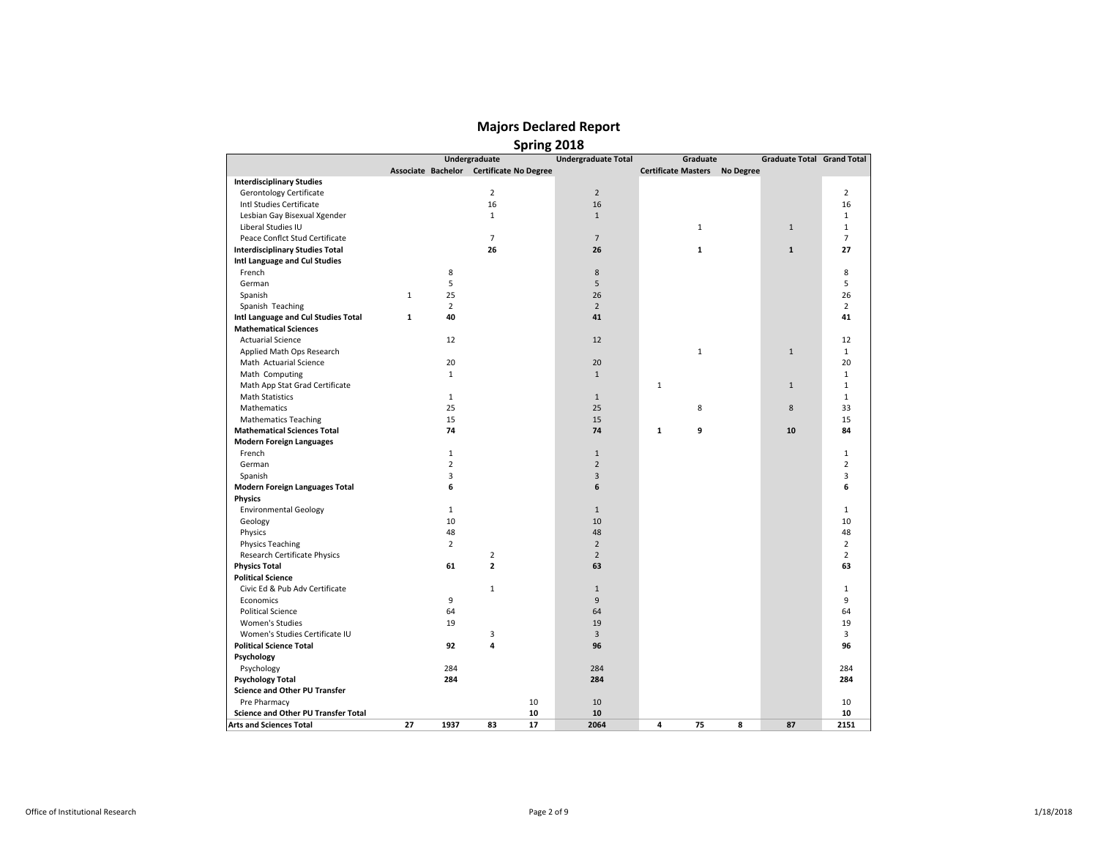|                                        |              |                |                         | <b>SPITIIR COTO</b>                      |                            |                                      |   |                                   |                |
|----------------------------------------|--------------|----------------|-------------------------|------------------------------------------|----------------------------|--------------------------------------|---|-----------------------------------|----------------|
|                                        |              |                | Undergraduate           |                                          | <b>Undergraduate Total</b> | Graduate                             |   | <b>Graduate Total Grand Total</b> |                |
|                                        |              |                |                         | Associate Bachelor Certificate No Degree |                            | <b>Certificate Masters No Degree</b> |   |                                   |                |
| <b>Interdisciplinary Studies</b>       |              |                |                         |                                          |                            |                                      |   |                                   |                |
| Gerontology Certificate                |              |                | $\overline{2}$          |                                          | $\overline{2}$             |                                      |   |                                   | $\overline{2}$ |
| Intl Studies Certificate               |              |                | 16                      |                                          | 16                         |                                      |   |                                   | 16             |
| Lesbian Gay Bisexual Xgender           |              |                | $\mathbf{1}$            |                                          | $\,1\,$                    |                                      |   |                                   | $\mathbf{1}$   |
| Liberal Studies IU                     |              |                |                         |                                          |                            | $\mathbf 1$                          |   | $\mathbf{1}$                      | $\mathbf{1}$   |
| Peace Conflct Stud Certificate         |              |                | $\overline{7}$          |                                          | $\overline{7}$             |                                      |   |                                   | $\overline{7}$ |
| <b>Interdisciplinary Studies Total</b> |              |                | 26                      |                                          | 26                         | $\mathbf{1}$                         |   | $\mathbf{1}$                      | 27             |
| Intl Language and Cul Studies          |              |                |                         |                                          |                            |                                      |   |                                   |                |
| French                                 |              | 8              |                         |                                          | 8                          |                                      |   |                                   | 8              |
| German                                 |              | 5              |                         |                                          | 5                          |                                      |   |                                   | 5              |
| Spanish                                | $\mathbf{1}$ | 25             |                         |                                          | 26                         |                                      |   |                                   | 26             |
| Spanish Teaching                       |              | $\overline{2}$ |                         |                                          | $\overline{2}$             |                                      |   |                                   | $\overline{2}$ |
| Intl Language and Cul Studies Total    | 1            | 40             |                         |                                          | 41                         |                                      |   |                                   | 41             |
| <b>Mathematical Sciences</b>           |              |                |                         |                                          |                            |                                      |   |                                   |                |
| <b>Actuarial Science</b>               |              | 12             |                         |                                          | 12                         |                                      |   |                                   | 12             |
| Applied Math Ops Research              |              |                |                         |                                          |                            | $\mathbf 1$                          |   | $\mathbf 1$                       | $\mathbf{1}$   |
| Math Actuarial Science                 |              | 20             |                         |                                          | 20                         |                                      |   |                                   | 20             |
| Math Computing                         |              | $\mathbf{1}$   |                         |                                          | $\mathbf{1}$               |                                      |   |                                   | $\mathbf{1}$   |
| Math App Stat Grad Certificate         |              |                |                         |                                          |                            | $\mathbf{1}$                         |   | $\mathbf{1}$                      | $\mathbf{1}$   |
| <b>Math Statistics</b>                 |              | $\mathbf{1}$   |                         |                                          | $\mathbf{1}$               |                                      |   |                                   | $\mathbf{1}$   |
| Mathematics                            |              | 25             |                         |                                          | 25                         | 8                                    |   | 8                                 | 33             |
| <b>Mathematics Teaching</b>            |              | 15             |                         |                                          | 15                         |                                      |   |                                   | 15             |
| <b>Mathematical Sciences Total</b>     |              | 74             |                         |                                          | 74                         | 9<br>1                               |   | 10                                | 84             |
| <b>Modern Foreign Languages</b>        |              |                |                         |                                          |                            |                                      |   |                                   |                |
| French                                 |              | $\mathbf{1}$   |                         |                                          | $\mathbf{1}$               |                                      |   |                                   | $\mathbf{1}$   |
| German                                 |              | $\overline{2}$ |                         |                                          | $\overline{2}$             |                                      |   |                                   | $\overline{2}$ |
| Spanish                                |              | 3              |                         |                                          | 3                          |                                      |   |                                   | 3              |
| <b>Modern Foreign Languages Total</b>  |              | 6              |                         |                                          | 6                          |                                      |   |                                   | 6              |
| <b>Physics</b>                         |              |                |                         |                                          |                            |                                      |   |                                   |                |
| <b>Environmental Geology</b>           |              | $\mathbf{1}$   |                         |                                          | $\mathbf{1}$               |                                      |   |                                   | $\mathbf{1}$   |
| Geology                                |              | 10             |                         |                                          | 10                         |                                      |   |                                   | 10             |
| Physics                                |              | 48             |                         |                                          | 48                         |                                      |   |                                   | 48             |
| <b>Physics Teaching</b>                |              | $\overline{2}$ |                         |                                          | $\mathbf 2$                |                                      |   |                                   | $\overline{2}$ |
| Research Certificate Physics           |              |                | $\overline{2}$          |                                          | $\overline{2}$             |                                      |   |                                   | $\overline{2}$ |
| <b>Physics Total</b>                   |              | 61             | $\mathbf{2}$            |                                          | 63                         |                                      |   |                                   | 63             |
| <b>Political Science</b>               |              |                |                         |                                          |                            |                                      |   |                                   |                |
| Civic Ed & Pub Adv Certificate         |              |                | $\mathbf{1}$            |                                          | $1\,$                      |                                      |   |                                   | $\mathbf{1}$   |
| Economics                              |              | 9              |                         |                                          | 9                          |                                      |   |                                   | 9              |
| <b>Political Science</b>               |              | 64             |                         |                                          | 64                         |                                      |   |                                   | 64             |
| <b>Women's Studies</b>                 |              | 19             |                         |                                          | 19                         |                                      |   |                                   | 19             |
| Women's Studies Certificate IU         |              |                | 3                       |                                          | 3                          |                                      |   |                                   | 3              |
| <b>Political Science Total</b>         |              | 92             | $\overline{\mathbf{4}}$ |                                          | 96                         |                                      |   |                                   | 96             |
| Psychology                             |              |                |                         |                                          |                            |                                      |   |                                   |                |
| Psychology                             |              | 284            |                         |                                          | 284                        |                                      |   |                                   | 284            |
| <b>Psychology Total</b>                |              | 284            |                         |                                          | 284                        |                                      |   |                                   | 284            |
| <b>Science and Other PU Transfer</b>   |              |                |                         |                                          |                            |                                      |   |                                   |                |
| Pre Pharmacy                           |              |                |                         | 10                                       | 10                         |                                      |   |                                   | 10             |
| Science and Other PU Transfer Total    |              |                |                         | 10                                       | 10                         |                                      |   |                                   | 10             |
| <b>Arts and Sciences Total</b>         | 27           | 1937           | 83                      | 17                                       | 2064                       | 4<br>75                              | 8 | 87                                | 2151           |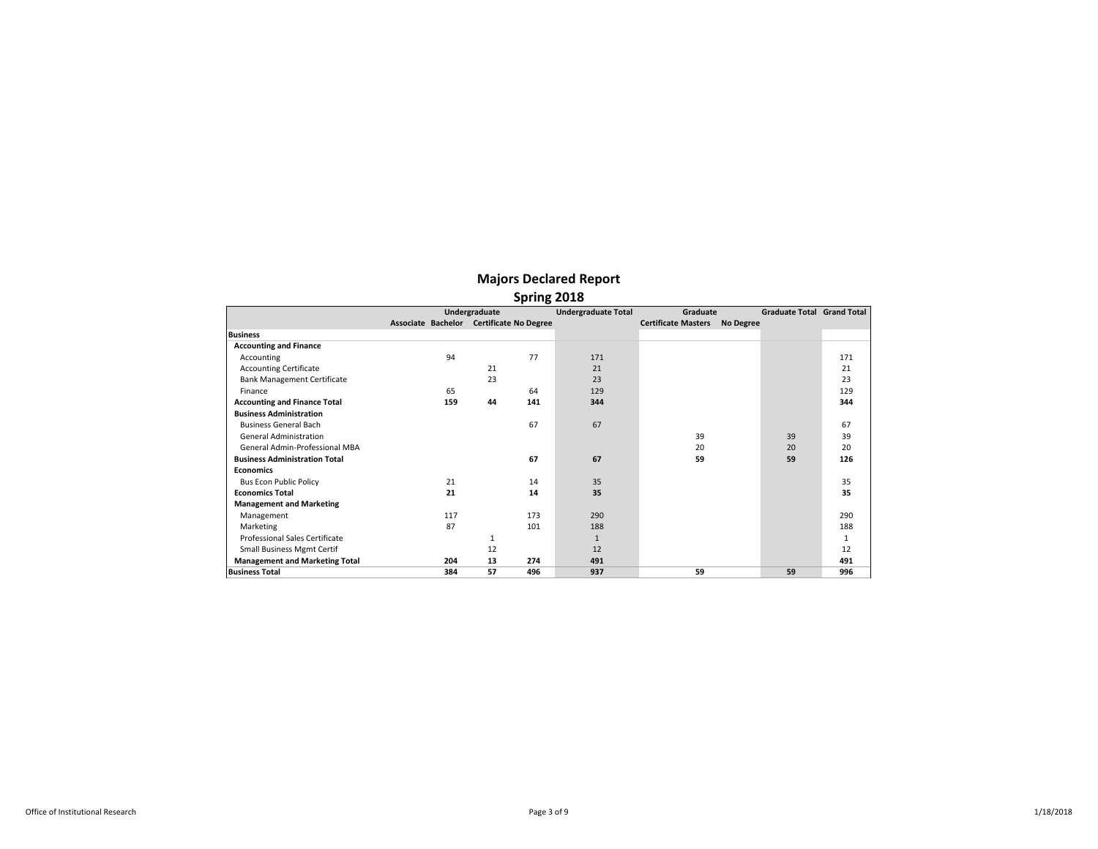|                                       |     | Undergraduate                            |     | <b>Undergraduate Total</b> | Graduate                   |           | <b>Graduate Total Grand Total</b> |     |
|---------------------------------------|-----|------------------------------------------|-----|----------------------------|----------------------------|-----------|-----------------------------------|-----|
|                                       |     | Associate Bachelor Certificate No Degree |     |                            | <b>Certificate Masters</b> | No Degree |                                   |     |
| <b>Business</b>                       |     |                                          |     |                            |                            |           |                                   |     |
| <b>Accounting and Finance</b>         |     |                                          |     |                            |                            |           |                                   |     |
| Accounting                            | 94  |                                          | 77  | 171                        |                            |           |                                   | 171 |
| <b>Accounting Certificate</b>         |     | 21                                       |     | 21                         |                            |           |                                   | 21  |
| <b>Bank Management Certificate</b>    |     | 23                                       |     | 23                         |                            |           |                                   | 23  |
| Finance                               | 65  |                                          | 64  | 129                        |                            |           |                                   | 129 |
| <b>Accounting and Finance Total</b>   | 159 | 44                                       | 141 | 344                        |                            |           |                                   | 344 |
| <b>Business Administration</b>        |     |                                          |     |                            |                            |           |                                   |     |
| <b>Business General Bach</b>          |     |                                          | 67  | 67                         |                            |           |                                   | 67  |
| <b>General Administration</b>         |     |                                          |     |                            | 39                         |           | 39                                | 39  |
| General Admin-Professional MBA        |     |                                          |     |                            | 20                         |           | 20                                | 20  |
| <b>Business Administration Total</b>  |     |                                          | 67  | 67                         | 59                         |           | 59                                | 126 |
| <b>Economics</b>                      |     |                                          |     |                            |                            |           |                                   |     |
| <b>Bus Econ Public Policy</b>         | 21  |                                          | 14  | 35                         |                            |           |                                   | 35  |
| <b>Economics Total</b>                | 21  |                                          | 14  | 35                         |                            |           |                                   | 35  |
| <b>Management and Marketing</b>       |     |                                          |     |                            |                            |           |                                   |     |
| Management                            | 117 |                                          | 173 | 290                        |                            |           |                                   | 290 |
| Marketing                             | 87  |                                          | 101 | 188                        |                            |           |                                   | 188 |
| Professional Sales Certificate        |     | 1                                        |     | $\mathbf{1}$               |                            |           |                                   | 1   |
| <b>Small Business Mgmt Certif</b>     |     | 12                                       |     | 12                         |                            |           |                                   | 12  |
| <b>Management and Marketing Total</b> | 204 | 13                                       | 274 | 491                        |                            |           |                                   | 491 |
| <b>Business Total</b>                 | 384 | 57                                       | 496 | 937                        | 59                         |           | 59                                | 996 |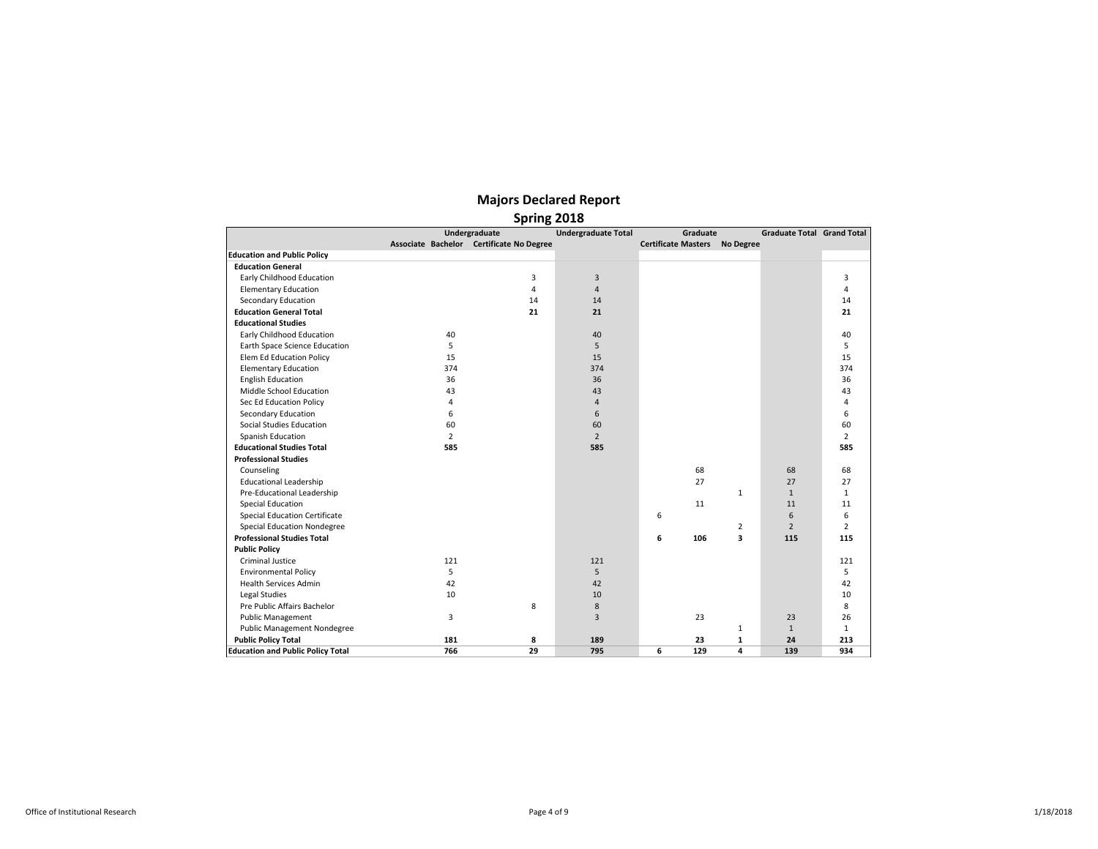|                                          |                | <b>Spring ZOTO</b>                       |                            |                                      |              |                                   |                |
|------------------------------------------|----------------|------------------------------------------|----------------------------|--------------------------------------|--------------|-----------------------------------|----------------|
|                                          |                | Undergraduate                            | <b>Undergraduate Total</b> | Graduate                             |              | <b>Graduate Total Grand Total</b> |                |
|                                          |                | Associate Bachelor Certificate No Degree |                            | <b>Certificate Masters No Degree</b> |              |                                   |                |
| <b>Education and Public Policy</b>       |                |                                          |                            |                                      |              |                                   |                |
| <b>Education General</b>                 |                |                                          |                            |                                      |              |                                   |                |
| Early Childhood Education                |                | 3                                        | 3                          |                                      |              |                                   | 3              |
| <b>Elementary Education</b>              |                | $\overline{4}$                           | $\overline{4}$             |                                      |              |                                   | 4              |
| Secondary Education                      |                | 14                                       | 14                         |                                      |              |                                   | 14             |
| <b>Education General Total</b>           |                | 21                                       | 21                         |                                      |              |                                   | 21             |
| <b>Educational Studies</b>               |                |                                          |                            |                                      |              |                                   |                |
| Early Childhood Education                | 40             |                                          | 40                         |                                      |              |                                   | 40             |
| Earth Space Science Education            | 5              |                                          | 5                          |                                      |              |                                   | 5              |
| Elem Ed Education Policy                 | 15             |                                          | 15                         |                                      |              |                                   | 15             |
| <b>Elementary Education</b>              | 374            |                                          | 374                        |                                      |              |                                   | 374            |
| <b>English Education</b>                 | 36             |                                          | 36                         |                                      |              |                                   | 36             |
| Middle School Education                  | 43             |                                          | 43                         |                                      |              |                                   | 43             |
| Sec Ed Education Policy                  | 4              |                                          | $\overline{4}$             |                                      |              |                                   | 4              |
| Secondary Education                      | 6              |                                          | 6                          |                                      |              |                                   | 6              |
| Social Studies Education                 | 60             |                                          | 60                         |                                      |              |                                   | 60             |
| Spanish Education                        | $\overline{2}$ |                                          | $\overline{2}$             |                                      |              |                                   | $\overline{2}$ |
| <b>Educational Studies Total</b>         | 585            |                                          | 585                        |                                      |              |                                   | 585            |
| <b>Professional Studies</b>              |                |                                          |                            |                                      |              |                                   |                |
| Counseling                               |                |                                          |                            | 68                                   |              | 68                                | 68             |
| <b>Educational Leadership</b>            |                |                                          |                            | 27                                   |              | 27                                | 27             |
| Pre-Educational Leadership               |                |                                          |                            |                                      | 1            | $\mathbf{1}$                      | $\mathbf{1}$   |
| <b>Special Education</b>                 |                |                                          |                            | 11                                   |              | 11                                | 11             |
| <b>Special Education Certificate</b>     |                |                                          |                            | 6                                    |              | 6                                 | 6              |
| <b>Special Education Nondegree</b>       |                |                                          |                            |                                      | 2            | $\overline{2}$                    | $\overline{2}$ |
| <b>Professional Studies Total</b>        |                |                                          |                            | 6<br>106                             | 3            | 115                               | 115            |
| <b>Public Policy</b>                     |                |                                          |                            |                                      |              |                                   |                |
| <b>Criminal Justice</b>                  | 121            |                                          | 121                        |                                      |              |                                   | 121            |
| <b>Environmental Policy</b>              | 5              |                                          | 5                          |                                      |              |                                   | 5              |
| <b>Health Services Admin</b>             | 42             |                                          | 42                         |                                      |              |                                   | 42             |
| Legal Studies                            | 10             |                                          | 10                         |                                      |              |                                   | 10             |
| Pre Public Affairs Bachelor              |                | 8                                        | 8                          |                                      |              |                                   | 8              |
| <b>Public Management</b>                 | 3              |                                          | 3                          | 23                                   |              | 23                                | 26             |
| <b>Public Management Nondegree</b>       |                |                                          |                            |                                      | 1            | $\mathbf{1}$                      | $\mathbf{1}$   |
| <b>Public Policy Total</b>               | 181            | 8                                        | 189                        | 23                                   | $\mathbf{1}$ | 24                                | 213            |
| <b>Education and Public Policy Total</b> | 766            | 29                                       | 795                        | 6<br>129                             | 4            | 139                               | 934            |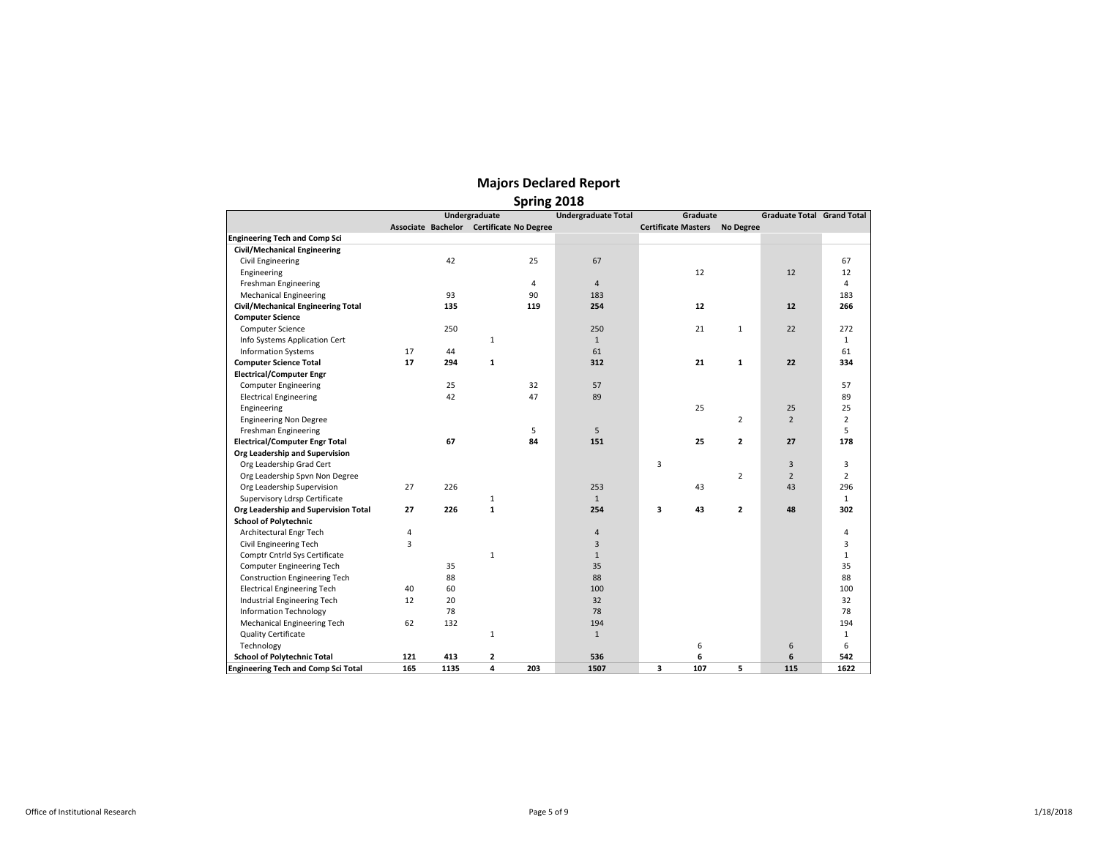|                                            |     |      |                                          |     | <b>Spring COTO</b>         |                                      |                |                                   |                |  |  |  |  |  |  |
|--------------------------------------------|-----|------|------------------------------------------|-----|----------------------------|--------------------------------------|----------------|-----------------------------------|----------------|--|--|--|--|--|--|
|                                            |     |      | Undergraduate                            |     | <b>Undergraduate Total</b> | Graduate                             |                | <b>Graduate Total Grand Total</b> |                |  |  |  |  |  |  |
|                                            |     |      | Associate Bachelor Certificate No Degree |     |                            | <b>Certificate Masters No Degree</b> |                |                                   |                |  |  |  |  |  |  |
| <b>Engineering Tech and Comp Sci</b>       |     |      |                                          |     |                            |                                      |                |                                   |                |  |  |  |  |  |  |
| Civil/Mechanical Engineering               |     |      |                                          |     |                            |                                      |                |                                   |                |  |  |  |  |  |  |
| Civil Engineering                          |     | 42   |                                          | 25  | 67                         |                                      |                |                                   | 67             |  |  |  |  |  |  |
| Engineering                                |     |      |                                          |     |                            | 12                                   |                | 12                                | 12             |  |  |  |  |  |  |
| Freshman Engineering                       |     |      |                                          | 4   | $\overline{4}$             |                                      |                |                                   | 4              |  |  |  |  |  |  |
| <b>Mechanical Engineering</b>              |     | 93   |                                          | 90  | 183                        |                                      |                |                                   | 183            |  |  |  |  |  |  |
| Civil/Mechanical Engineering Total         |     | 135  |                                          | 119 | 254                        | 12                                   |                | 12                                | 266            |  |  |  |  |  |  |
| <b>Computer Science</b>                    |     |      |                                          |     |                            |                                      |                |                                   |                |  |  |  |  |  |  |
| <b>Computer Science</b>                    |     | 250  |                                          |     | 250                        | 21                                   | $\mathbf{1}$   | 22                                | 272            |  |  |  |  |  |  |
| Info Systems Application Cert              |     |      | $\mathbf{1}$                             |     | $\mathbf{1}$               |                                      |                |                                   | $\mathbf{1}$   |  |  |  |  |  |  |
| <b>Information Systems</b>                 | 17  | 44   |                                          |     | 61                         |                                      |                |                                   | 61             |  |  |  |  |  |  |
| <b>Computer Science Total</b>              | 17  | 294  | 1                                        |     | 312                        | 21                                   | $\mathbf{1}$   | 22                                | 334            |  |  |  |  |  |  |
| <b>Electrical/Computer Engr</b>            |     |      |                                          |     |                            |                                      |                |                                   |                |  |  |  |  |  |  |
| <b>Computer Engineering</b>                |     | 25   |                                          | 32  | 57                         |                                      |                |                                   | 57             |  |  |  |  |  |  |
| <b>Electrical Engineering</b>              |     | 42   |                                          | 47  | 89                         |                                      |                |                                   | 89             |  |  |  |  |  |  |
| Engineering                                |     |      |                                          |     |                            | 25                                   |                | 25                                | 25             |  |  |  |  |  |  |
| <b>Engineering Non Degree</b>              |     |      |                                          |     |                            |                                      | 2              | $\overline{2}$                    | $\overline{2}$ |  |  |  |  |  |  |
| Freshman Engineering                       |     |      |                                          | 5   | 5                          |                                      |                |                                   | 5              |  |  |  |  |  |  |
| <b>Electrical/Computer Engr Total</b>      |     | 67   |                                          | 84  | 151                        | 25                                   | $\overline{2}$ | 27                                | 178            |  |  |  |  |  |  |
| Org Leadership and Supervision             |     |      |                                          |     |                            |                                      |                |                                   |                |  |  |  |  |  |  |
| Org Leadership Grad Cert                   |     |      |                                          |     |                            | 3                                    |                | 3                                 | 3              |  |  |  |  |  |  |
| Org Leadership Spvn Non Degree             |     |      |                                          |     |                            |                                      | $\overline{2}$ | $\overline{2}$                    | $\overline{2}$ |  |  |  |  |  |  |
| Org Leadership Supervision                 | 27  | 226  |                                          |     | 253                        | 43                                   |                | 43                                | 296            |  |  |  |  |  |  |
| Supervisory Ldrsp Certificate              |     |      | $\mathbf{1}$                             |     | $\mathbf{1}$               |                                      |                |                                   | $\mathbf{1}$   |  |  |  |  |  |  |
| Org Leadership and Supervision Total       | 27  | 226  | $\mathbf{1}$                             |     | 254                        | 3<br>43                              | $\overline{2}$ | 48                                | 302            |  |  |  |  |  |  |
| <b>School of Polytechnic</b>               |     |      |                                          |     |                            |                                      |                |                                   |                |  |  |  |  |  |  |
| Architectural Engr Tech                    | 4   |      |                                          |     | 4                          |                                      |                |                                   | 4              |  |  |  |  |  |  |
| Civil Engineering Tech                     | 3   |      |                                          |     | 3                          |                                      |                |                                   | 3              |  |  |  |  |  |  |
| Comptr Cntrld Sys Certificate              |     |      | $\mathbf{1}$                             |     | $\mathbf{1}$               |                                      |                |                                   | $\mathbf{1}$   |  |  |  |  |  |  |
| <b>Computer Engineering Tech</b>           |     | 35   |                                          |     | 35                         |                                      |                |                                   | 35             |  |  |  |  |  |  |
| <b>Construction Engineering Tech</b>       |     | 88   |                                          |     | 88                         |                                      |                |                                   | 88             |  |  |  |  |  |  |
| <b>Electrical Engineering Tech</b>         | 40  | 60   |                                          |     | 100                        |                                      |                |                                   | 100            |  |  |  |  |  |  |
| Industrial Engineering Tech                | 12  | 20   |                                          |     | 32                         |                                      |                |                                   | 32             |  |  |  |  |  |  |
| <b>Information Technology</b>              |     | 78   |                                          |     | 78                         |                                      |                |                                   | 78             |  |  |  |  |  |  |
| Mechanical Engineering Tech                | 62  | 132  |                                          |     | 194                        |                                      |                |                                   | 194            |  |  |  |  |  |  |
| <b>Quality Certificate</b>                 |     |      | $\mathbf{1}$                             |     | $\mathbf{1}$               |                                      |                |                                   | $\mathbf{1}$   |  |  |  |  |  |  |
| Technology                                 |     |      |                                          |     |                            | 6                                    |                | 6                                 | 6              |  |  |  |  |  |  |
| <b>School of Polytechnic Total</b>         | 121 | 413  | $\mathbf{2}$                             |     | 536                        | 6                                    |                | 6                                 | 542            |  |  |  |  |  |  |
| <b>Engineering Tech and Comp Sci Total</b> | 165 | 1135 | 4                                        | 203 | 1507                       | 3<br>107                             | 5              | 115                               | 1622           |  |  |  |  |  |  |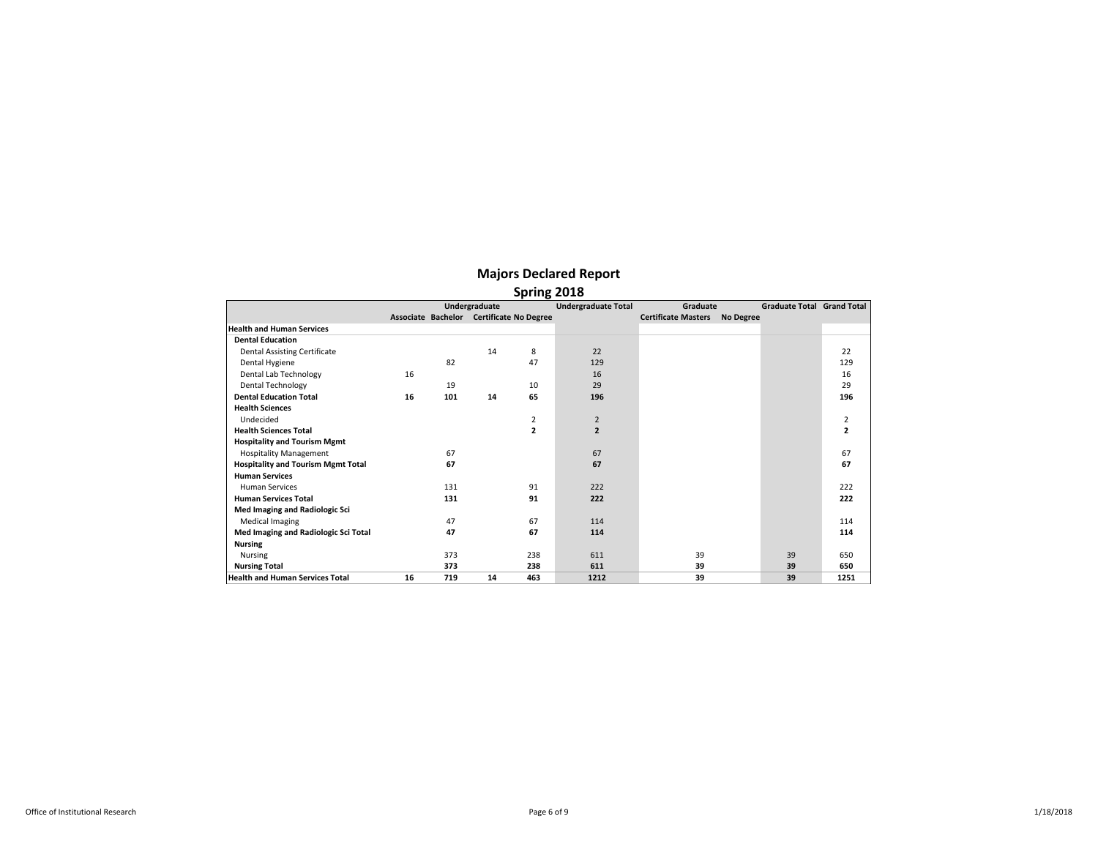|                                           |    |     | Undergraduate |                                          | <b>Undergraduate Total</b> | Graduate                   |                  | <b>Graduate Total Grand Total</b> |              |
|-------------------------------------------|----|-----|---------------|------------------------------------------|----------------------------|----------------------------|------------------|-----------------------------------|--------------|
|                                           |    |     |               | Associate Bachelor Certificate No Degree |                            | <b>Certificate Masters</b> | <b>No Degree</b> |                                   |              |
| <b>Health and Human Services</b>          |    |     |               |                                          |                            |                            |                  |                                   |              |
| <b>Dental Education</b>                   |    |     |               |                                          |                            |                            |                  |                                   |              |
| <b>Dental Assisting Certificate</b>       |    |     | 14            | 8                                        | 22                         |                            |                  |                                   | 22           |
| Dental Hygiene                            |    | 82  |               | 47                                       | 129                        |                            |                  |                                   | 129          |
| Dental Lab Technology                     | 16 |     |               |                                          | 16                         |                            |                  |                                   | 16           |
| <b>Dental Technology</b>                  |    | 19  |               | 10                                       | 29                         |                            |                  |                                   | 29           |
| <b>Dental Education Total</b>             | 16 | 101 | 14            | 65                                       | 196                        |                            |                  |                                   | 196          |
| <b>Health Sciences</b>                    |    |     |               |                                          |                            |                            |                  |                                   |              |
| Undecided                                 |    |     |               | $\overline{2}$                           | $\overline{2}$             |                            |                  |                                   | 2            |
| <b>Health Sciences Total</b>              |    |     |               | $\overline{2}$                           | $\overline{2}$             |                            |                  |                                   | $\mathbf{2}$ |
| <b>Hospitality and Tourism Mgmt</b>       |    |     |               |                                          |                            |                            |                  |                                   |              |
| <b>Hospitality Management</b>             |    | 67  |               |                                          | 67                         |                            |                  |                                   | 67           |
| <b>Hospitality and Tourism Mgmt Total</b> |    | 67  |               |                                          | 67                         |                            |                  |                                   | 67           |
| <b>Human Services</b>                     |    |     |               |                                          |                            |                            |                  |                                   |              |
| <b>Human Services</b>                     |    | 131 |               | 91                                       | 222                        |                            |                  |                                   | 222          |
| <b>Human Services Total</b>               |    | 131 |               | 91                                       | 222                        |                            |                  |                                   | 222          |
| Med Imaging and Radiologic Sci            |    |     |               |                                          |                            |                            |                  |                                   |              |
| <b>Medical Imaging</b>                    |    | 47  |               | 67                                       | 114                        |                            |                  |                                   | 114          |
| Med Imaging and Radiologic Sci Total      |    | 47  |               | 67                                       | 114                        |                            |                  |                                   | 114          |
| <b>Nursing</b>                            |    |     |               |                                          |                            |                            |                  |                                   |              |
| Nursing                                   |    | 373 |               | 238                                      | 611                        | 39                         |                  | 39                                | 650          |
| <b>Nursing Total</b>                      |    | 373 |               | 238                                      | 611                        | 39                         |                  | 39                                | 650          |
| <b>Health and Human Services Total</b>    | 16 | 719 | 14            | 463                                      | 1212                       | 39                         |                  | 39                                | 1251         |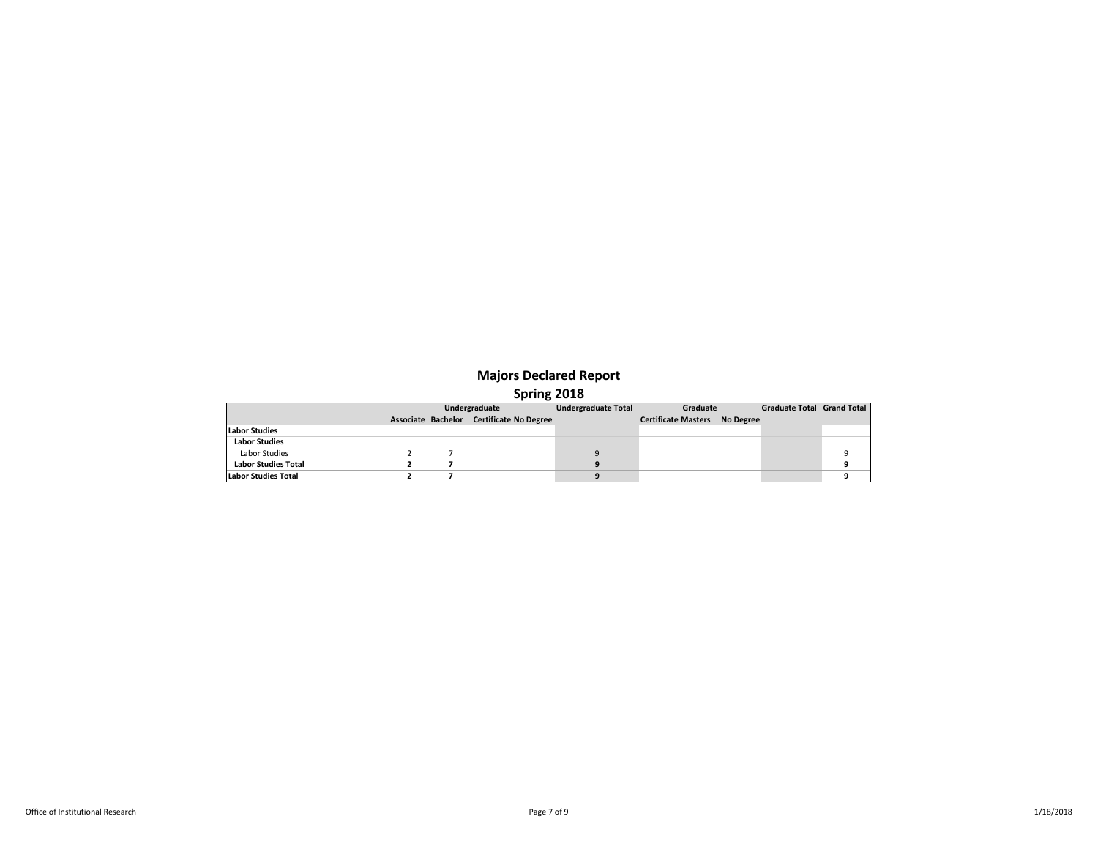|                            |  | Undergraduate                            | <b>Undergraduate Total</b> | Graduate                             | <b>Graduate Total Grand Total</b> |  |
|----------------------------|--|------------------------------------------|----------------------------|--------------------------------------|-----------------------------------|--|
|                            |  | Associate Bachelor Certificate No Degree |                            | <b>Certificate Masters No Degree</b> |                                   |  |
| <b>Labor Studies</b>       |  |                                          |                            |                                      |                                   |  |
| <b>Labor Studies</b>       |  |                                          |                            |                                      |                                   |  |
| Labor Studies              |  |                                          |                            |                                      |                                   |  |
| <b>Labor Studies Total</b> |  |                                          |                            |                                      |                                   |  |
| <b>Labor Studies Total</b> |  |                                          |                            |                                      |                                   |  |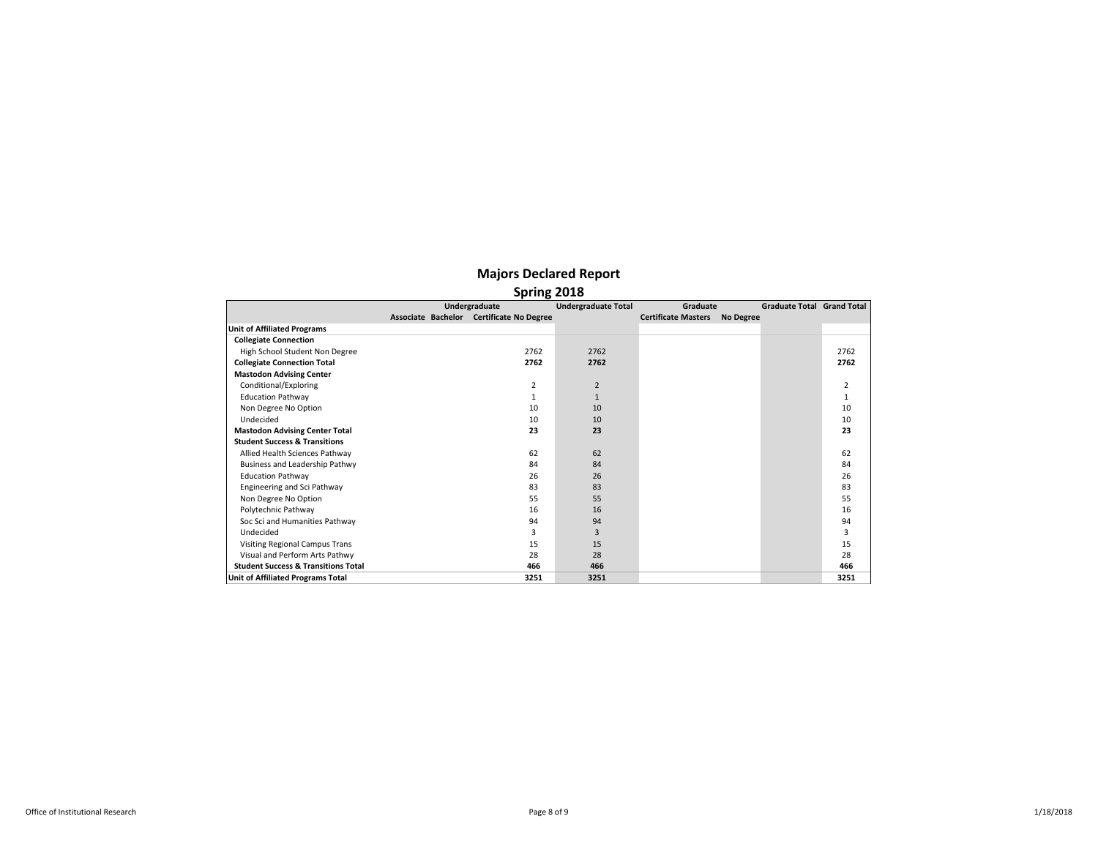|                                                | Undergraduate                            | <b>Undergraduate Total</b> | Graduate                   |                  | <b>Graduate Total Grand Total</b> |      |
|------------------------------------------------|------------------------------------------|----------------------------|----------------------------|------------------|-----------------------------------|------|
|                                                | Associate Bachelor Certificate No Degree |                            | <b>Certificate Masters</b> | <b>No Degree</b> |                                   |      |
| <b>Unit of Affiliated Programs</b>             |                                          |                            |                            |                  |                                   |      |
| <b>Collegiate Connection</b>                   |                                          |                            |                            |                  |                                   |      |
| High School Student Non Degree                 | 2762                                     | 2762                       |                            |                  |                                   | 2762 |
| <b>Collegiate Connection Total</b>             | 2762                                     | 2762                       |                            |                  |                                   | 2762 |
| <b>Mastodon Advising Center</b>                |                                          |                            |                            |                  |                                   |      |
| Conditional/Exploring                          | 2                                        | 2                          |                            |                  |                                   | 2    |
| <b>Education Pathway</b>                       |                                          | $\mathbf{1}$               |                            |                  |                                   | 1    |
| Non Degree No Option                           | 10                                       | 10                         |                            |                  |                                   | 10   |
| Undecided                                      | 10                                       | 10                         |                            |                  |                                   | 10   |
| <b>Mastodon Advising Center Total</b>          | 23                                       | 23                         |                            |                  |                                   | 23   |
| <b>Student Success &amp; Transitions</b>       |                                          |                            |                            |                  |                                   |      |
| Allied Health Sciences Pathway                 | 62                                       | 62                         |                            |                  |                                   | 62   |
| Business and Leadership Pathwy                 | 84                                       | 84                         |                            |                  |                                   | 84   |
| <b>Education Pathway</b>                       | 26                                       | 26                         |                            |                  |                                   | 26   |
| Engineering and Sci Pathway                    | 83                                       | 83                         |                            |                  |                                   | 83   |
| Non Degree No Option                           | 55                                       | 55                         |                            |                  |                                   | 55   |
| Polytechnic Pathway                            | 16                                       | 16                         |                            |                  |                                   | 16   |
| Soc Sci and Humanities Pathway                 | 94                                       | 94                         |                            |                  |                                   | 94   |
| Undecided                                      | 3                                        | 3                          |                            |                  |                                   | 3    |
| <b>Visiting Regional Campus Trans</b>          | 15                                       | 15                         |                            |                  |                                   | 15   |
| Visual and Perform Arts Pathwy                 | 28                                       | 28                         |                            |                  |                                   | 28   |
| <b>Student Success &amp; Transitions Total</b> | 466                                      | 466                        |                            |                  |                                   | 466  |
| Unit of Affiliated Programs Total              | 3251                                     | 3251                       |                            |                  |                                   | 3251 |